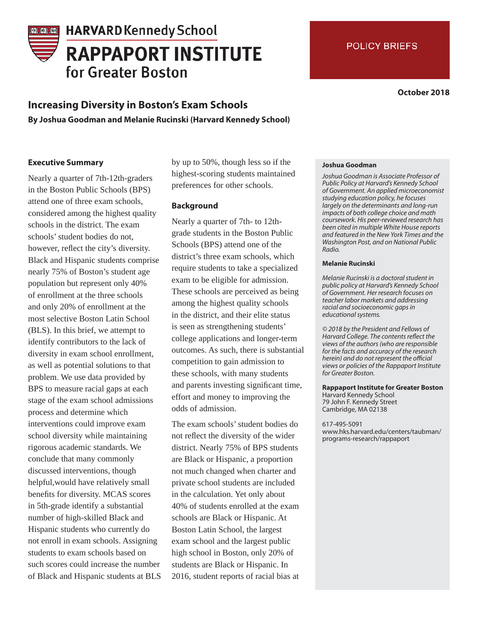# **HARVARD Kennedy School RAPPAPORT INSTITUTE** for Greater Boston

# **Increasing Diversity in Boston's Exam Schools**

**By Joshua Goodman and Melanie Rucinski (Harvard Kennedy School)** 

## **Executive Summary**

Nearly a quarter of 7th-12th-graders in the Boston Public Schools (BPS) attend one of three exam schools, considered among the highest quality schools in the district. The exam schools' student bodies do not, however, reflect the city's diversity. Black and Hispanic students comprise nearly 75% of Boston's student age population but represent only 40% of enrollment at the three schools and only 20% of enrollment at the most selective Boston Latin School (BLS). In this brief, we attempt to identify contributors to the lack of diversity in exam school enrollment, as well as potential solutions to that problem. We use data provided by BPS to measure racial gaps at each stage of the exam school admissions process and determine which interventions could improve exam school diversity while maintaining rigorous academic standards. We conclude that many commonly discussed interventions, though helpful,would have relatively small benefits for diversity. MCAS scores in 5th-grade identify a substantial number of high-skilled Black and Hispanic students who currently do not enroll in exam schools. Assigning students to exam schools based on such scores could increase the number of Black and Hispanic students at BLS

by up to 50%, though less so if the highest-scoring students maintained preferences for other schools.

## **Background**

Nearly a quarter of 7th- to 12thgrade students in the Boston Public Schools (BPS) attend one of the district's three exam schools, which require students to take a specialized exam to be eligible for admission. These schools are perceived as being among the highest quality schools in the district, and their elite status is seen as strengthening students' college applications and longer-term outcomes. As such, there is substantial competition to gain admission to these schools, with many students and parents investing significant time, effort and money to improving the odds of admission.

The exam schools' student bodies do not reflect the diversity of the wider district. Nearly 75% of BPS students are Black or Hispanic, a proportion not much changed when charter and private school students are included in the calculation. Yet only about 40% of students enrolled at the exam schools are Black or Hispanic. At Boston Latin School, the largest exam school and the largest public high school in Boston, only 20% of students are Black or Hispanic. In 2016, student reports of racial bias at

#### **Joshua Goodman**

Joshua Goodman is Associate Professor of Public Policy at Harvard's Kennedy School of Government. An applied microeconomist studying education policy, he focuses largely on the determinants and long-run impacts of both college choice and math coursework. His peer-reviewed research has been cited in multiple White House reports and featured in the New York Times and the Washington Post, and on National Public Radio.

#### **Melanie Rucinski**

Melanie Rucinski is a doctoral student in public policy at Harvard's Kennedy School of Government. Her research focuses on teacher labor markets and addressing racial and socioeconomic gaps in educational systems.

© 2018 by the President and Fellows of Harvard College. The contents reflect the views of the authors (who are responsible for the facts and accuracy of the research herein) and do not represent the official views or policies of the Rappaport Institute for Greater Boston.

**Rappaport Institute for Greater Boston** Harvard Kennedy School 79 John F. Kennedy Street Cambridge, MA 02138

617-495-5091 www.hks.harvard.edu/centers/taubman/ programs-research/rappaport

**October 2018**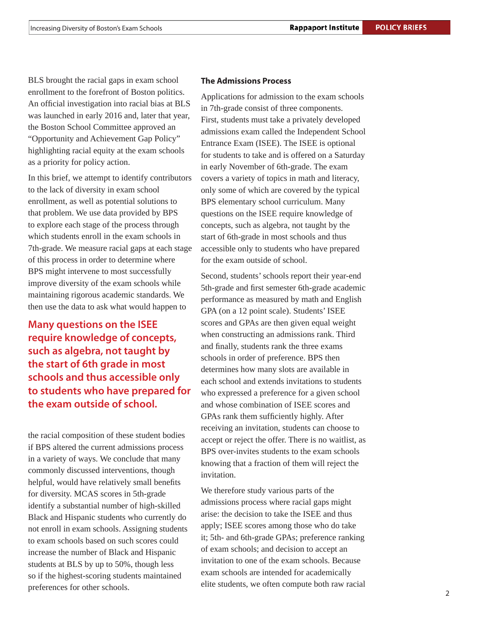BLS brought the racial gaps in exam school enrollment to the forefront of Boston politics. An official investigation into racial bias at BLS was launched in early 2016 and, later that year, the Boston School Committee approved an "Opportunity and Achievement Gap Policy" highlighting racial equity at the exam schools as a priority for policy action.

In this brief, we attempt to identify contributors to the lack of diversity in exam school enrollment, as well as potential solutions to that problem. We use data provided by BPS to explore each stage of the process through which students enroll in the exam schools in 7th-grade. We measure racial gaps at each stage of this process in order to determine where BPS might intervene to most successfully improve diversity of the exam schools while maintaining rigorous academic standards. We then use the data to ask what would happen to

**Many questions on the ISEE require knowledge of concepts, such as algebra, not taught by the start of 6th grade in most schools and thus accessible only to students who have prepared for the exam outside of school.**

the racial composition of these student bodies if BPS altered the current admissions process in a variety of ways. We conclude that many commonly discussed interventions, though helpful, would have relatively small benefits for diversity. MCAS scores in 5th-grade identify a substantial number of high-skilled Black and Hispanic students who currently do not enroll in exam schools. Assigning students to exam schools based on such scores could increase the number of Black and Hispanic students at BLS by up to 50%, though less so if the highest-scoring students maintained preferences for other schools.

### **The Admissions Process**

Applications for admission to the exam schools in 7th-grade consist of three components. First, students must take a privately developed admissions exam called the Independent School Entrance Exam (ISEE). The ISEE is optional for students to take and is offered on a Saturday in early November of 6th-grade. The exam covers a variety of topics in math and literacy, only some of which are covered by the typical BPS elementary school curriculum. Many questions on the ISEE require knowledge of concepts, such as algebra, not taught by the start of 6th-grade in most schools and thus accessible only to students who have prepared for the exam outside of school.

Second, students' schools report their year-end 5th-grade and first semester 6th-grade academic performance as measured by math and English GPA (on a 12 point scale). Students' ISEE scores and GPAs are then given equal weight when constructing an admissions rank. Third and finally, students rank the three exams schools in order of preference. BPS then determines how many slots are available in each school and extends invitations to students who expressed a preference for a given school and whose combination of ISEE scores and GPAs rank them sufficiently highly. After receiving an invitation, students can choose to accept or reject the offer. There is no waitlist, as BPS over-invites students to the exam schools knowing that a fraction of them will reject the invitation.

We therefore study various parts of the admissions process where racial gaps might arise: the decision to take the ISEE and thus apply; ISEE scores among those who do take it; 5th- and 6th-grade GPAs; preference ranking of exam schools; and decision to accept an invitation to one of the exam schools. Because exam schools are intended for academically elite students, we often compute both raw racial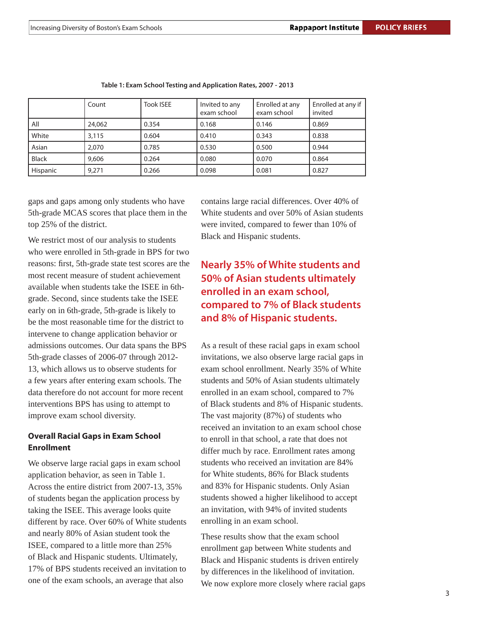|              | Count  | <b>Took ISEE</b> | Invited to any<br>exam school | Enrolled at any<br>exam school | Enrolled at any if<br>invited |
|--------------|--------|------------------|-------------------------------|--------------------------------|-------------------------------|
| All          | 24,062 | 0.354            | 0.168                         | 0.146                          | 0.869                         |
| White        | 3,115  | 0.604            | 0.410                         | 0.343                          | 0.838                         |
| Asian        | 2.070  | 0.785            | 0.530                         | 0.500                          | 0.944                         |
| <b>Black</b> | 9,606  | 0.264            | 0.080                         | 0.070                          | 0.864                         |
| Hispanic     | 9.271  | 0.266            | 0.098                         | 0.081                          | 0.827                         |

#### **Table 1: Exam School Testing and Application Rates, 2007 - 2013**

gaps and gaps among only students who have 5th-grade MCAS scores that place them in the top 25% of the district.

We restrict most of our analysis to students who were enrolled in 5th-grade in BPS for two reasons: first, 5th-grade state test scores are the most recent measure of student achievement available when students take the ISEE in 6thgrade. Second, since students take the ISEE early on in 6th-grade, 5th-grade is likely to be the most reasonable time for the district to intervene to change application behavior or admissions outcomes. Our data spans the BPS 5th-grade classes of 2006-07 through 2012- 13, which allows us to observe students for a few years after entering exam schools. The data therefore do not account for more recent interventions BPS has using to attempt to improve exam school diversity.

# **Overall Racial Gaps in Exam School Enrollment**

We observe large racial gaps in exam school application behavior, as seen in Table 1. Across the entire district from 2007-13, 35% of students began the application process by taking the ISEE. This average looks quite different by race. Over 60% of White students and nearly 80% of Asian student took the ISEE, compared to a little more than 25% of Black and Hispanic students. Ultimately, 17% of BPS students received an invitation to one of the exam schools, an average that also

contains large racial differences. Over 40% of White students and over 50% of Asian students were invited, compared to fewer than 10% of Black and Hispanic students.

# **Nearly 35% of White students and 50% of Asian students ultimately enrolled in an exam school, compared to 7% of Black students and 8% of Hispanic students.**

As a result of these racial gaps in exam school invitations, we also observe large racial gaps in exam school enrollment. Nearly 35% of White students and 50% of Asian students ultimately enrolled in an exam school, compared to 7% of Black students and 8% of Hispanic students. The vast majority (87%) of students who received an invitation to an exam school chose to enroll in that school, a rate that does not differ much by race. Enrollment rates among students who received an invitation are 84% for White students, 86% for Black students and 83% for Hispanic students. Only Asian students showed a higher likelihood to accept an invitation, with 94% of invited students enrolling in an exam school.

These results show that the exam school enrollment gap between White students and Black and Hispanic students is driven entirely by differences in the likelihood of invitation. We now explore more closely where racial gaps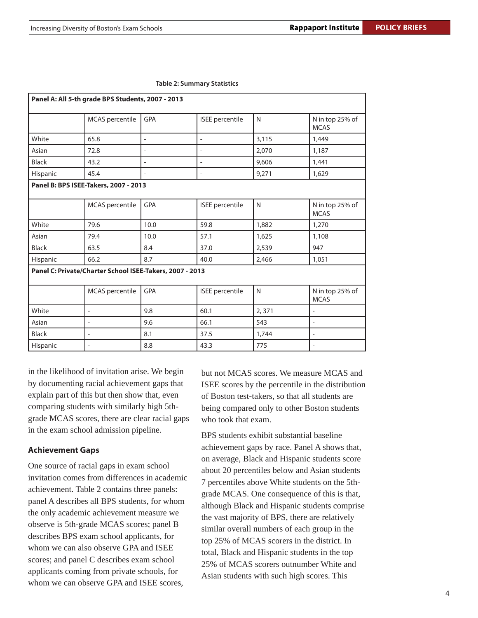| Panel A: All 5-th grade BPS Students, 2007 - 2013 |                                                          |                          |                        |              |                                |  |
|---------------------------------------------------|----------------------------------------------------------|--------------------------|------------------------|--------------|--------------------------------|--|
|                                                   | MCAS percentile                                          | <b>GPA</b>               | <b>ISEE</b> percentile | N            | N in top 25% of<br><b>MCAS</b> |  |
| White                                             | 65.8                                                     |                          |                        | 3,115        | 1,449                          |  |
| Asian                                             | 72.8                                                     | $\overline{\phantom{0}}$ | $\overline{a}$         | 2,070        | 1,187                          |  |
| <b>Black</b>                                      | 43.2                                                     | $\overline{\phantom{0}}$ | $\overline{a}$         | 9,606        | 1,441                          |  |
| Hispanic                                          | 45.4                                                     |                          | $\overline{a}$         | 9,271        | 1,629                          |  |
|                                                   | Panel B: BPS ISEE-Takers, 2007 - 2013                    |                          |                        |              |                                |  |
|                                                   | MCAS percentile                                          | <b>GPA</b>               | <b>ISEE</b> percentile | $\mathsf{N}$ | N in top 25% of<br><b>MCAS</b> |  |
| White                                             | 79.6                                                     | 10.0                     | 59.8                   | 1,882        | 1,270                          |  |
| Asian                                             | 79.4                                                     | 10.0                     | 57.1                   | 1,625        | 1,108                          |  |
| <b>Black</b>                                      | 63.5                                                     | 8.4                      | 37.0                   | 2,539        | 947                            |  |
| Hispanic                                          | 66.2                                                     | 8.7                      | 40.0                   | 2,466        | 1,051                          |  |
|                                                   | Panel C: Private/Charter School ISEE-Takers, 2007 - 2013 |                          |                        |              |                                |  |
|                                                   | MCAS percentile                                          | <b>GPA</b>               | <b>ISEE</b> percentile | $\mathsf{N}$ | N in top 25% of<br><b>MCAS</b> |  |
| White                                             | $\overline{\phantom{0}}$                                 | 9.8                      | 60.1                   | 2,371        |                                |  |
| Asian                                             | $\overline{\phantom{0}}$                                 | 9.6                      | 66.1                   | 543          | $\overline{\phantom{a}}$       |  |
| <b>Black</b>                                      | $\overline{a}$                                           | 8.1                      | 37.5                   | 1,744        | $\overline{\phantom{a}}$       |  |
| Hispanic                                          |                                                          | 8.8                      | 43.3                   | 775          |                                |  |

**Table 2: Summary Statistics**

in the likelihood of invitation arise. We begin by documenting racial achievement gaps that explain part of this but then show that, even comparing students with similarly high 5thgrade MCAS scores, there are clear racial gaps in the exam school admission pipeline.

### **Achievement Gaps**

One source of racial gaps in exam school invitation comes from differences in academic achievement. Table 2 contains three panels: panel A describes all BPS students, for whom the only academic achievement measure we observe is 5th-grade MCAS scores; panel B describes BPS exam school applicants, for whom we can also observe GPA and ISEE scores; and panel C describes exam school applicants coming from private schools, for whom we can observe GPA and ISEE scores,

but not MCAS scores. We measure MCAS and ISEE scores by the percentile in the distribution of Boston test-takers, so that all students are being compared only to other Boston students who took that exam.

BPS students exhibit substantial baseline achievement gaps by race. Panel A shows that, on average, Black and Hispanic students score about 20 percentiles below and Asian students 7 percentiles above White students on the 5thgrade MCAS. One consequence of this is that, although Black and Hispanic students comprise the vast majority of BPS, there are relatively similar overall numbers of each group in the top 25% of MCAS scorers in the district. In total, Black and Hispanic students in the top 25% of MCAS scorers outnumber White and Asian students with such high scores. This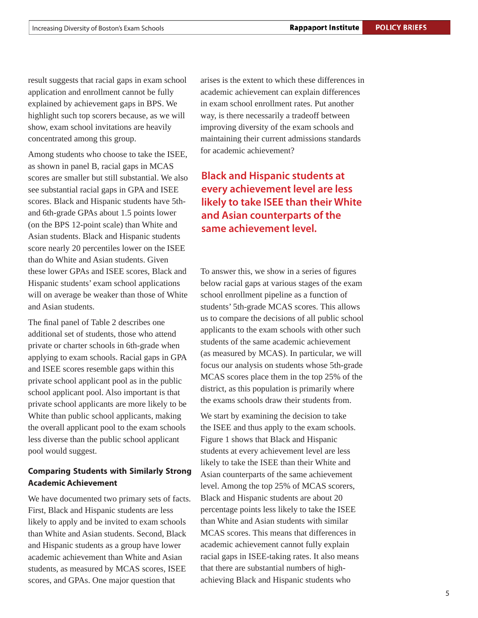result suggests that racial gaps in exam school application and enrollment cannot be fully explained by achievement gaps in BPS. We highlight such top scorers because, as we will show, exam school invitations are heavily concentrated among this group.

Among students who choose to take the ISEE, as shown in panel B, racial gaps in MCAS scores are smaller but still substantial. We also see substantial racial gaps in GPA and ISEE scores. Black and Hispanic students have 5thand 6th-grade GPAs about 1.5 points lower (on the BPS 12-point scale) than White and Asian students. Black and Hispanic students score nearly 20 percentiles lower on the ISEE than do White and Asian students. Given these lower GPAs and ISEE scores, Black and Hispanic students' exam school applications will on average be weaker than those of White and Asian students.

The final panel of Table 2 describes one additional set of students, those who attend private or charter schools in 6th-grade when applying to exam schools. Racial gaps in GPA and ISEE scores resemble gaps within this private school applicant pool as in the public school applicant pool. Also important is that private school applicants are more likely to be White than public school applicants, making the overall applicant pool to the exam schools less diverse than the public school applicant pool would suggest.

# **Comparing Students with Similarly Strong Academic Achievement**

We have documented two primary sets of facts. First, Black and Hispanic students are less likely to apply and be invited to exam schools than White and Asian students. Second, Black and Hispanic students as a group have lower academic achievement than White and Asian students, as measured by MCAS scores, ISEE scores, and GPAs. One major question that

arises is the extent to which these differences in academic achievement can explain differences in exam school enrollment rates. Put another way, is there necessarily a tradeoff between improving diversity of the exam schools and maintaining their current admissions standards for academic achievement?

# **Black and Hispanic students at every achievement level are less likely to take ISEE than their White and Asian counterparts of the same achievement level.**

To answer this, we show in a series of figures below racial gaps at various stages of the exam school enrollment pipeline as a function of students' 5th-grade MCAS scores. This allows us to compare the decisions of all public school applicants to the exam schools with other such students of the same academic achievement (as measured by MCAS). In particular, we will focus our analysis on students whose 5th-grade MCAS scores place them in the top 25% of the district, as this population is primarily where the exams schools draw their students from.

We start by examining the decision to take the ISEE and thus apply to the exam schools. Figure 1 shows that Black and Hispanic students at every achievement level are less likely to take the ISEE than their White and Asian counterparts of the same achievement level. Among the top 25% of MCAS scorers, Black and Hispanic students are about 20 percentage points less likely to take the ISEE than White and Asian students with similar MCAS scores. This means that differences in academic achievement cannot fully explain racial gaps in ISEE-taking rates. It also means that there are substantial numbers of highachieving Black and Hispanic students who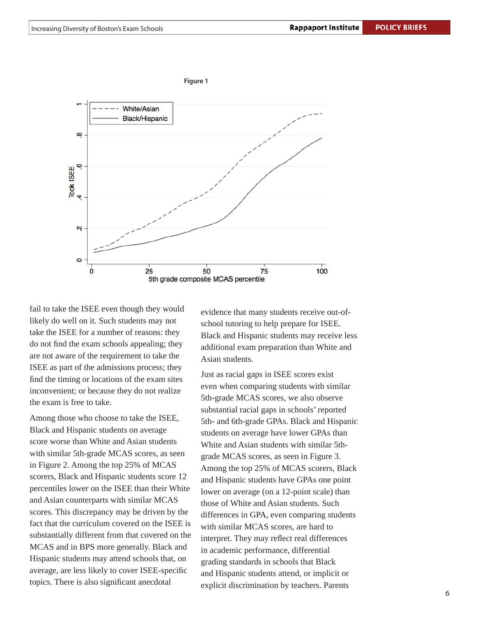

fail to take the ISEE even though they would likely do well on it. Such students may not take the ISEE for a number of reasons: they do not find the exam schools appealing; they are not aware of the requirement to take the ISEE as part of the admissions process; they find the timing or locations of the exam sites inconvenient; or because they do not realize the exam is free to take.

Among those who choose to take the ISEE, Black and Hispanic students on average score worse than White and Asian students with similar 5th-grade MCAS scores, as seen in Figure 2. Among the top 25% of MCAS scorers, Black and Hispanic students score 12 percentiles lower on the ISEE than their White and Asian counterparts with similar MCAS scores. This discrepancy may be driven by the fact that the curriculum covered on the ISEE is substantially different from that covered on the MCAS and in BPS more generally. Black and Hispanic students may attend schools that, on average, are less likely to cover ISEE-specific topics. There is also significant anecdotal

evidence that many students receive out-ofschool tutoring to help prepare for ISEE. Black and Hispanic students may receive less additional exam preparation than White and Asian students.

Just as racial gaps in ISEE scores exist even when comparing students with similar 5th-grade MCAS scores, we also observe substantial racial gaps in schools' reported 5th- and 6th-grade GPAs. Black and Hispanic students on average have lower GPAs than White and Asian students with similar 5thgrade MCAS scores, as seen in Figure 3. Among the top 25% of MCAS scorers, Black and Hispanic students have GPAs one point lower on average (on a 12-point scale) than those of White and Asian students. Such differences in GPA, even comparing students with similar MCAS scores, are hard to interpret. They may reflect real differences in academic performance, differential grading standards in schools that Black and Hispanic students attend, or implicit or explicit discrimination by teachers. Parents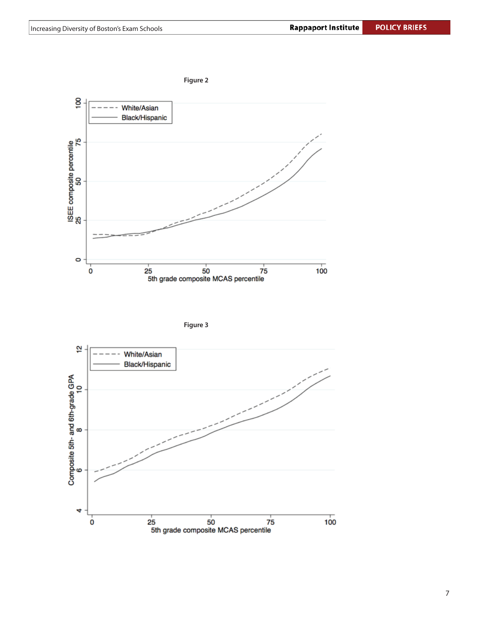





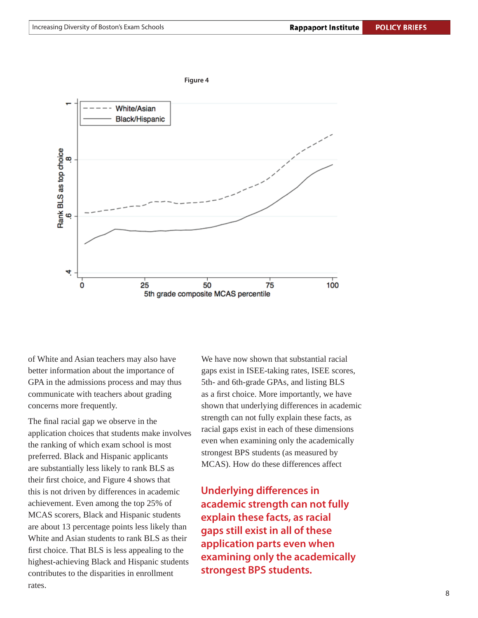

of White and Asian teachers may also have better information about the importance of GPA in the admissions process and may thus communicate with teachers about grading concerns more frequently.

The final racial gap we observe in the application choices that students make involves the ranking of which exam school is most preferred. Black and Hispanic applicants are substantially less likely to rank BLS as their first choice, and Figure 4 shows that this is not driven by differences in academic achievement. Even among the top 25% of MCAS scorers, Black and Hispanic students are about 13 percentage points less likely than White and Asian students to rank BLS as their first choice. That BLS is less appealing to the highest-achieving Black and Hispanic students contributes to the disparities in enrollment rates.

We have now shown that substantial racial gaps exist in ISEE-taking rates, ISEE scores, 5th- and 6th-grade GPAs, and listing BLS as a first choice. More importantly, we have shown that underlying differences in academic strength can not fully explain these facts, as racial gaps exist in each of these dimensions even when examining only the academically strongest BPS students (as measured by MCAS). How do these differences affect

**Underlying differences in academic strength can not fully explain these facts, as racial gaps still exist in all of these application parts even when examining only the academically strongest BPS students.**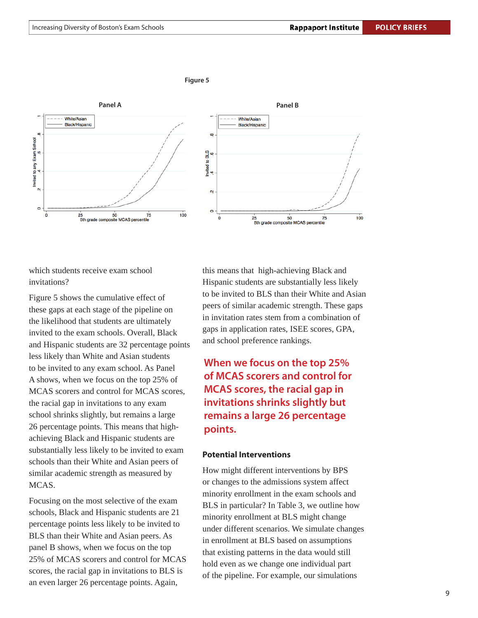

which students receive exam school invitations?

Figure 5 shows the cumulative effect of these gaps at each stage of the pipeline on the likelihood that students are ultimately invited to the exam schools. Overall, Black and Hispanic students are 32 percentage points less likely than White and Asian students to be invited to any exam school. As Panel A shows, when we focus on the top 25% of MCAS scorers and control for MCAS scores, the racial gap in invitations to any exam school shrinks slightly, but remains a large 26 percentage points. This means that highachieving Black and Hispanic students are substantially less likely to be invited to exam schools than their White and Asian peers of similar academic strength as measured by MCAS.

Focusing on the most selective of the exam schools, Black and Hispanic students are 21 percentage points less likely to be invited to BLS than their White and Asian peers. As panel B shows, when we focus on the top 25% of MCAS scorers and control for MCAS scores, the racial gap in invitations to BLS is an even larger 26 percentage points. Again,

this means that high-achieving Black and Hispanic students are substantially less likely to be invited to BLS than their White and Asian peers of similar academic strength. These gaps in invitation rates stem from a combination of gaps in application rates, ISEE scores, GPA, and school preference rankings.

**When we focus on the top 25% of MCAS scorers and control for MCAS scores, the racial gap in invitations shrinks slightly but remains a large 26 percentage points.**

### **Potential Interventions**

How might different interventions by BPS or changes to the admissions system affect minority enrollment in the exam schools and BLS in particular? In Table 3, we outline how minority enrollment at BLS might change under different scenarios. We simulate changes in enrollment at BLS based on assumptions that existing patterns in the data would still hold even as we change one individual part of the pipeline. For example, our simulations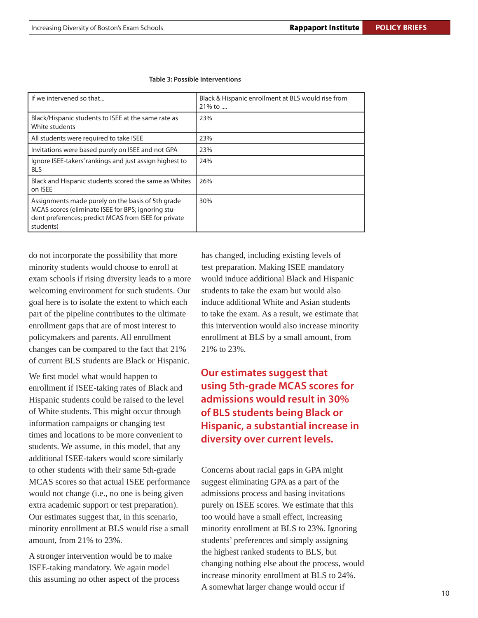| If we intervened so that                                                                                                                                                     | Black & Hispanic enrollment at BLS would rise from<br>21% to |
|------------------------------------------------------------------------------------------------------------------------------------------------------------------------------|--------------------------------------------------------------|
| Black/Hispanic students to ISEE at the same rate as<br>White students                                                                                                        | 23%                                                          |
| All students were required to take ISEE                                                                                                                                      | 23%                                                          |
| Invitations were based purely on ISEE and not GPA                                                                                                                            | 23%                                                          |
| Ignore ISEE-takers' rankings and just assign highest to<br><b>BLS</b>                                                                                                        | 24%                                                          |
| Black and Hispanic students scored the same as Whites<br>on ISEE                                                                                                             | 26%                                                          |
| Assignments made purely on the basis of 5th grade<br>MCAS scores (eliminate ISEE for BPS; ignoring stu-<br>dent preferences; predict MCAS from ISEE for private<br>students) | 30%                                                          |

#### **Table 3: Possible Interventions**

do not incorporate the possibility that more minority students would choose to enroll at exam schools if rising diversity leads to a more welcoming environment for such students. Our goal here is to isolate the extent to which each part of the pipeline contributes to the ultimate enrollment gaps that are of most interest to policymakers and parents. All enrollment changes can be compared to the fact that 21% of current BLS students are Black or Hispanic.

We first model what would happen to enrollment if ISEE-taking rates of Black and Hispanic students could be raised to the level of White students. This might occur through information campaigns or changing test times and locations to be more convenient to students. We assume, in this model, that any additional ISEE-takers would score similarly to other students with their same 5th-grade MCAS scores so that actual ISEE performance would not change (i.e., no one is being given extra academic support or test preparation). Our estimates suggest that, in this scenario, minority enrollment at BLS would rise a small amount, from 21% to 23%.

A stronger intervention would be to make ISEE-taking mandatory. We again model this assuming no other aspect of the process has changed, including existing levels of test preparation. Making ISEE mandatory would induce additional Black and Hispanic students to take the exam but would also induce additional White and Asian students to take the exam. As a result, we estimate that this intervention would also increase minority enrollment at BLS by a small amount, from 21% to 23%.

# **Our estimates suggest that using 5th-grade MCAS scores for admissions would result in 30% of BLS students being Black or Hispanic, a substantial increase in diversity over current levels.**

Concerns about racial gaps in GPA might suggest eliminating GPA as a part of the admissions process and basing invitations purely on ISEE scores. We estimate that this too would have a small effect, increasing minority enrollment at BLS to 23%. Ignoring students' preferences and simply assigning the highest ranked students to BLS, but changing nothing else about the process, would increase minority enrollment at BLS to 24%. A somewhat larger change would occur if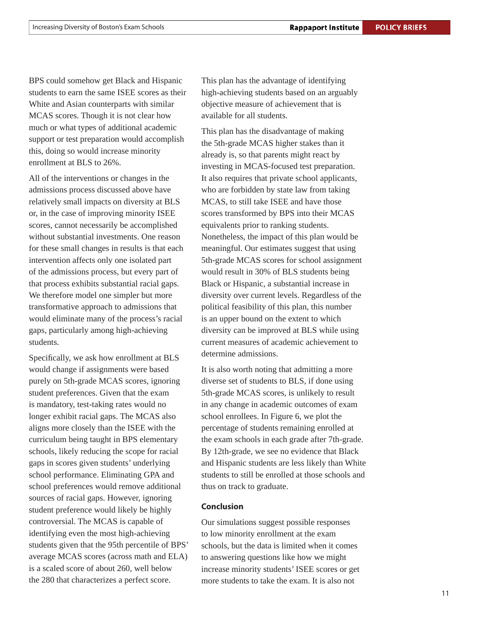BPS could somehow get Black and Hispanic students to earn the same ISEE scores as their White and Asian counterparts with similar MCAS scores. Though it is not clear how much or what types of additional academic support or test preparation would accomplish this, doing so would increase minority enrollment at BLS to 26%.

All of the interventions or changes in the admissions process discussed above have relatively small impacts on diversity at BLS or, in the case of improving minority ISEE scores, cannot necessarily be accomplished without substantial investments. One reason for these small changes in results is that each intervention affects only one isolated part of the admissions process, but every part of that process exhibits substantial racial gaps. We therefore model one simpler but more transformative approach to admissions that would eliminate many of the process's racial gaps, particularly among high-achieving students.

Specifically, we ask how enrollment at BLS would change if assignments were based purely on 5th-grade MCAS scores, ignoring student preferences. Given that the exam is mandatory, test-taking rates would no longer exhibit racial gaps. The MCAS also aligns more closely than the ISEE with the curriculum being taught in BPS elementary schools, likely reducing the scope for racial gaps in scores given students' underlying school performance. Eliminating GPA and school preferences would remove additional sources of racial gaps. However, ignoring student preference would likely be highly controversial. The MCAS is capable of identifying even the most high-achieving students given that the 95th percentile of BPS' average MCAS scores (across math and ELA) is a scaled score of about 260, well below the 280 that characterizes a perfect score.

This plan has the advantage of identifying high-achieving students based on an arguably objective measure of achievement that is available for all students.

This plan has the disadvantage of making the 5th-grade MCAS higher stakes than it already is, so that parents might react by investing in MCAS-focused test preparation. It also requires that private school applicants, who are forbidden by state law from taking MCAS, to still take ISEE and have those scores transformed by BPS into their MCAS equivalents prior to ranking students. Nonetheless, the impact of this plan would be meaningful. Our estimates suggest that using 5th-grade MCAS scores for school assignment would result in 30% of BLS students being Black or Hispanic, a substantial increase in diversity over current levels. Regardless of the political feasibility of this plan, this number is an upper bound on the extent to which diversity can be improved at BLS while using current measures of academic achievement to determine admissions.

It is also worth noting that admitting a more diverse set of students to BLS, if done using 5th-grade MCAS scores, is unlikely to result in any change in academic outcomes of exam school enrollees. In Figure 6, we plot the percentage of students remaining enrolled at the exam schools in each grade after 7th-grade. By 12th-grade, we see no evidence that Black and Hispanic students are less likely than White students to still be enrolled at those schools and thus on track to graduate.

### **Conclusion**

Our simulations suggest possible responses to low minority enrollment at the exam schools, but the data is limited when it comes to answering questions like how we might increase minority students' ISEE scores or get more students to take the exam. It is also not